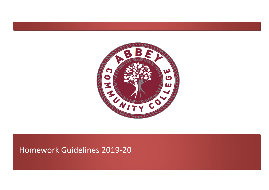

## Homework Guidelines 2019-20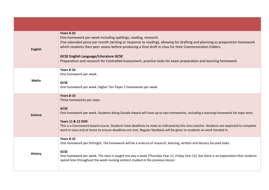| English        | <b>Years 8-10</b><br>One homework per week including spellings, reading, research.<br>One extended piece per month (writing or response to reading), allowing for drafting and planning as preparation homework<br>which students then peer assess before producing a final draft in class for their Communication folders.<br><b>GCSE English Language/Literature GCSE</b><br>Preparation and research for Controlled Assessment, practice tasks for exam preparation and learning homework.         |
|----------------|-------------------------------------------------------------------------------------------------------------------------------------------------------------------------------------------------------------------------------------------------------------------------------------------------------------------------------------------------------------------------------------------------------------------------------------------------------------------------------------------------------|
| <b>Maths</b>   | <b>Years 8-10</b><br>One homework per week.<br><b>GCSE</b><br>One homework per week. Higher Tier Paper 2 homeworks per week.                                                                                                                                                                                                                                                                                                                                                                          |
| <b>Science</b> | <b>Years 8-10</b><br>Three homeworks per topic.<br><b>GCSE</b><br>One homework per week. Students doing Double Award will have up to two homeworks, including a learning homework for topic tests.<br><b>Years 11 &amp; 12 OCN</b><br>This is a Coursework based course. Students have deadlines to meet as indicated by the class teacher. Students are expected to complete<br>work in class and at home to ensure deadlines are met. Regular feedback will be given to students on work handed in. |
| <b>History</b> | <b>Years 8-10</b><br>One homework per fortnight. The homework will be a mixture of research, learning, written and literacy focused tasks.<br><b>GCSE</b><br>One homework per week. The class is taught one day a week (Thursday Year 11, Friday Year 12), but there is an expectation that students<br>spend time throughout the week revising content studied in the previous lesson.                                                                                                               |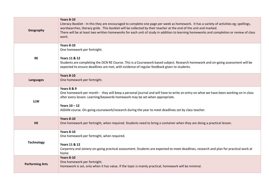| Geography              | <b>Years 8-10</b><br>Literacy Booklet - In this they are encouraged to complete one page per week as homework. It has a variety of activities eg; spellings,<br>wordsearches, literacy grids. This booklet will be collected by their teacher at the end of the unit and marked.<br>There will be at least two written homeworks for each unit of study in addition to learning homeworks and completion or review of class<br>work. |
|------------------------|--------------------------------------------------------------------------------------------------------------------------------------------------------------------------------------------------------------------------------------------------------------------------------------------------------------------------------------------------------------------------------------------------------------------------------------|
| <b>RE</b>              | <b>Years 8-10</b><br>One homework per fortnight.<br><b>Years 11 &amp; 12</b><br>Students are completing the OCN RE Course. This is a Coursework based subject. Research homework and on-going assessment will be<br>expected to ensure deadlines are met, with evidence of regular feedback given to students.                                                                                                                       |
| <b>Languages</b>       | <b>Years 8-10</b><br>One homework per fortnight.                                                                                                                                                                                                                                                                                                                                                                                     |
| <b>LLW</b>             | Years 8 & 9<br>One homework per month - they will keep a personal journal and will have to write an entry on what we have been working on in class<br>after every lesson. Learning/keywords homework may be set when appropriate.<br>Years $10 - 12$<br>ASDAN course. On-going coursework/research during the year to meet deadlines set by class teacher.                                                                           |
| <b>HE</b>              | <b>Years 8-10</b><br>One homework per fortnight, when required. Students need to bring a container when they are doing a practical lesson.                                                                                                                                                                                                                                                                                           |
| <b>Technology</b>      | <b>Years 8-10</b><br>One homework per fortnight, when required.<br><b>Years 11 &amp; 12</b><br>Carpentry and Joinery on-going practical assessment. Students are expected to meet deadlines, research and plan for practical work at<br>home                                                                                                                                                                                         |
| <b>Performing Arts</b> | <b>Years 8-10</b><br>One homework per fortnight.<br>Homework is set, only when it has value. If the topic is mainly practical, homework will be minimal.                                                                                                                                                                                                                                                                             |